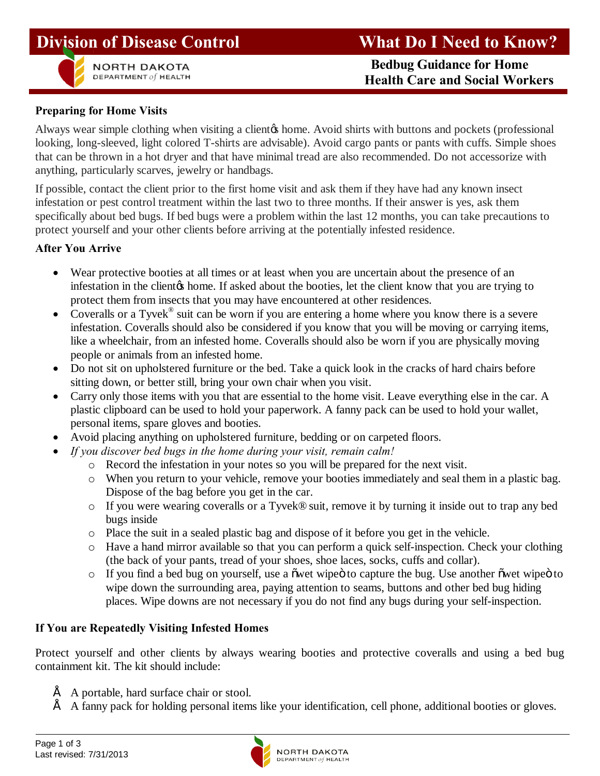



**NORTH DAKOTA** 

 **Bedbug Guidance for Home EPARTMENT of HEALTH CARE SEPARTMENT OF HEALTH Health Care and Social Workers** 

## **Preparing for Home Visits**

Always wear simple clothing when visiting a client to home. Avoid shirts with buttons and pockets (professional looking, long-sleeved, light colored T-shirts are advisable). Avoid cargo pants or pants with cuffs. Simple shoes that can be thrown in a hot dryer and that have minimal tread are also recommended. Do not accessorize with anything, particularly scarves, jewelry or handbags.

If possible, contact the client prior to the first home visit and ask them if they have had any known insect infestation or pest control treatment within the last two to three months. If their answer is yes, ask them specifically about bed bugs. If bed bugs were a problem within the last 12 months, you can take precautions to protect yourself and your other clients before arriving at the potentially infested residence.

## **After You Arrive**

- · Wear protective booties at all times or at least when you are uncertain about the presence of an infestation in the client to home. If asked about the booties, let the client know that you are trying to protect them from insects that you may have encountered at other residences.
- Coveralls or a Tyvek<sup>®</sup> suit can be worn if you are entering a home where you know there is a severe infestation. Coveralls should also be considered if you know that you will be moving or carrying items, like a wheelchair, from an infested home. Coveralls should also be worn if you are physically moving people or animals from an infested home.
- Do not sit on upholstered furniture or the bed. Take a quick look in the cracks of hard chairs before sitting down, or better still, bring your own chair when you visit.
- Carry only those items with you that are essential to the home visit. Leave everything else in the car. A plastic clipboard can be used to hold your paperwork. A fanny pack can be used to hold your wallet, personal items, spare gloves and booties.
- Avoid placing anything on upholstered furniture, bedding or on carpeted floors.
	- · *If you discover bed bugs in the home during your visit, remain calm!* 
		- o Record the infestation in your notes so you will be prepared for the next visit.
		- o When you return to your vehicle, remove your booties immediately and seal them in a plastic bag. Dispose of the bag before you get in the car.
		- o If you were wearing coveralls or a Tyvek® suit, remove it by turning it inside out to trap any bed bugs inside
		- o Place the suit in a sealed plastic bag and dispose of it before you get in the vehicle.
		- o Have a hand mirror available so that you can perform a quick self-inspection. Check your clothing (the back of your pants, tread of your shoes, shoe laces, socks, cuffs and collar).
		- $\circ$  If you find a bed bug on yourself, use a over wipe to capture the bug. Use another owet wipe to wipe down the surrounding area, paying attention to seams, buttons and other bed bug hiding places. Wipe downs are not necessary if you do not find any bugs during your self-inspection.

## **If You are Repeatedly Visiting Infested Homes**

Protect yourself and other clients by always wearing booties and protective coveralls and using a bed bug containment kit. The kit should include:

- $\acute{E}$  A portable, hard surface chair or stool.
- $\acute{E}$  A fanny pack for holding personal items like your identification, cell phone, additional booties or gloves.

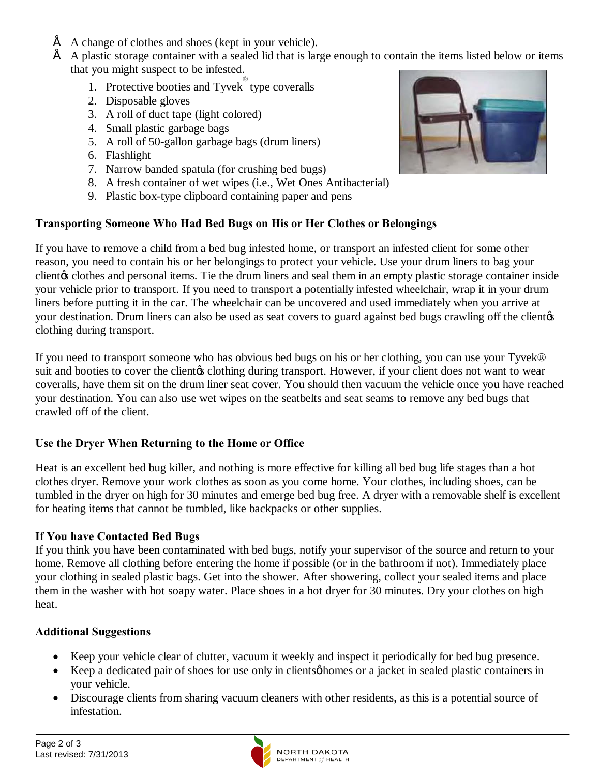- $\hat{E}$  A change of clothes and shoes (kept in your vehicle).
- $\acute{E}$  A plastic storage container with a sealed lid that is large enough to contain the items listed below or items that you might suspect to be infested.
	- 1. Protective booties and Tyvek ® type coveralls
	- 2. Disposable gloves
	- 3. A roll of duct tape (light colored)
	- 4. Small plastic garbage bags
	- 5. A roll of 50-gallon garbage bags (drum liners)
	- 6. Flashlight
	- 7. Narrow banded spatula (for crushing bed bugs)
	- 8. A fresh container of wet wipes (i.e., Wet Ones Antibacterial)
	- 9. Plastic box-type clipboard containing paper and pens

# **Transporting Someone Who Had Bed Bugs on His or Her Clothes or Belongings**

If you have to remove a child from a bed bug infested home, or transport an infested client for some other reason, you need to contain his or her belongings to protect your vehicle. Use your drum liners to bag your client of clothes and personal items. Tie the drum liners and seal them in an empty plastic storage container inside your vehicle prior to transport. If you need to transport a potentially infested wheelchair, wrap it in your drum liners before putting it in the car. The wheelchair can be uncovered and used immediately when you arrive at your destination. Drum liners can also be used as seat covers to guard against bed bugs crawling off the client  $\alpha$ clothing during transport.

If you need to transport someone who has obvious bed bugs on his or her clothing, you can use your Tyvek® suit and booties to cover the clientos clothing during transport. However, if your client does not want to wear coveralls, have them sit on the drum liner seat cover. You should then vacuum the vehicle once you have reached your destination. You can also use wet wipes on the seatbelts and seat seams to remove any bed bugs that crawled off of the client.

## **Use the Dryer When Returning to the Home or Office**

Heat is an excellent bed bug killer, and nothing is more effective for killing all bed bug life stages than a hot clothes dryer. Remove your work clothes as soon as you come home. Your clothes, including shoes, can be tumbled in the dryer on high for 30 minutes and emerge bed bug free. A dryer with a removable shelf is excellent for heating items that cannot be tumbled, like backpacks or other supplies.

## **If You have Contacted Bed Bugs**

If you think you have been contaminated with bed bugs, notify your supervisor of the source and return to your home. Remove all clothing before entering the home if possible (or in the bathroom if not). Immediately place your clothing in sealed plastic bags. Get into the shower. After showering, collect your sealed items and place them in the washer with hot soapy water. Place shoes in a hot dryer for 30 minutes. Dry your clothes on high heat.

## **Additional Suggestions**

- · Keep your vehicle clear of clutter, vacuum it weekly and inspect it periodically for bed bug presence.
- Keep a dedicated pair of shoes for use only in clients ophomes or a jacket in sealed plastic containers in your vehicle.
- Discourage clients from sharing vacuum cleaners with other residents, as this is a potential source of infestation.